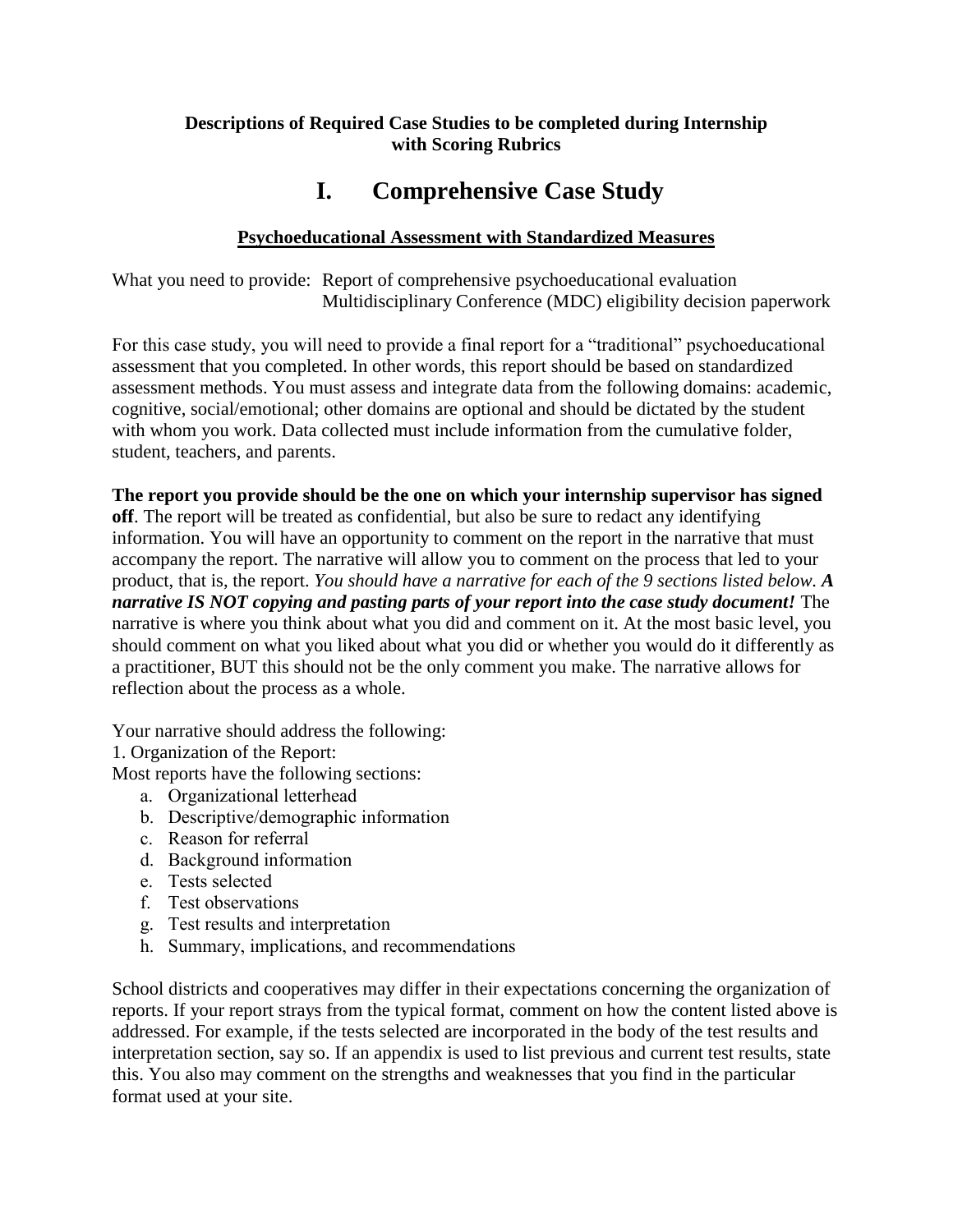## **Descriptions of Required Case Studies to be completed during Internship with Scoring Rubrics**

# **I. Comprehensive Case Study**

# **Psychoeducational Assessment with Standardized Measures**

What you need to provide: Report of comprehensive psychoeducational evaluation Multidisciplinary Conference (MDC) eligibility decision paperwork

For this case study, you will need to provide a final report for a "traditional" psychoeducational assessment that you completed. In other words, this report should be based on standardized assessment methods. You must assess and integrate data from the following domains: academic, cognitive, social/emotional; other domains are optional and should be dictated by the student with whom you work. Data collected must include information from the cumulative folder, student, teachers, and parents.

**The report you provide should be the one on which your internship supervisor has signed off**. The report will be treated as confidential, but also be sure to redact any identifying information. You will have an opportunity to comment on the report in the narrative that must accompany the report. The narrative will allow you to comment on the process that led to your product, that is, the report. *You should have a narrative for each of the 9 sections listed below. A narrative IS NOT copying and pasting parts of your report into the case study document!* The narrative is where you think about what you did and comment on it. At the most basic level, you should comment on what you liked about what you did or whether you would do it differently as a practitioner, BUT this should not be the only comment you make. The narrative allows for reflection about the process as a whole.

Your narrative should address the following:

1. Organization of the Report:

Most reports have the following sections:

- a. Organizational letterhead
- b. Descriptive/demographic information
- c. Reason for referral
- d. Background information
- e. Tests selected
- f. Test observations
- g. Test results and interpretation
- h. Summary, implications, and recommendations

School districts and cooperatives may differ in their expectations concerning the organization of reports. If your report strays from the typical format, comment on how the content listed above is addressed. For example, if the tests selected are incorporated in the body of the test results and interpretation section, say so. If an appendix is used to list previous and current test results, state this. You also may comment on the strengths and weaknesses that you find in the particular format used at your site.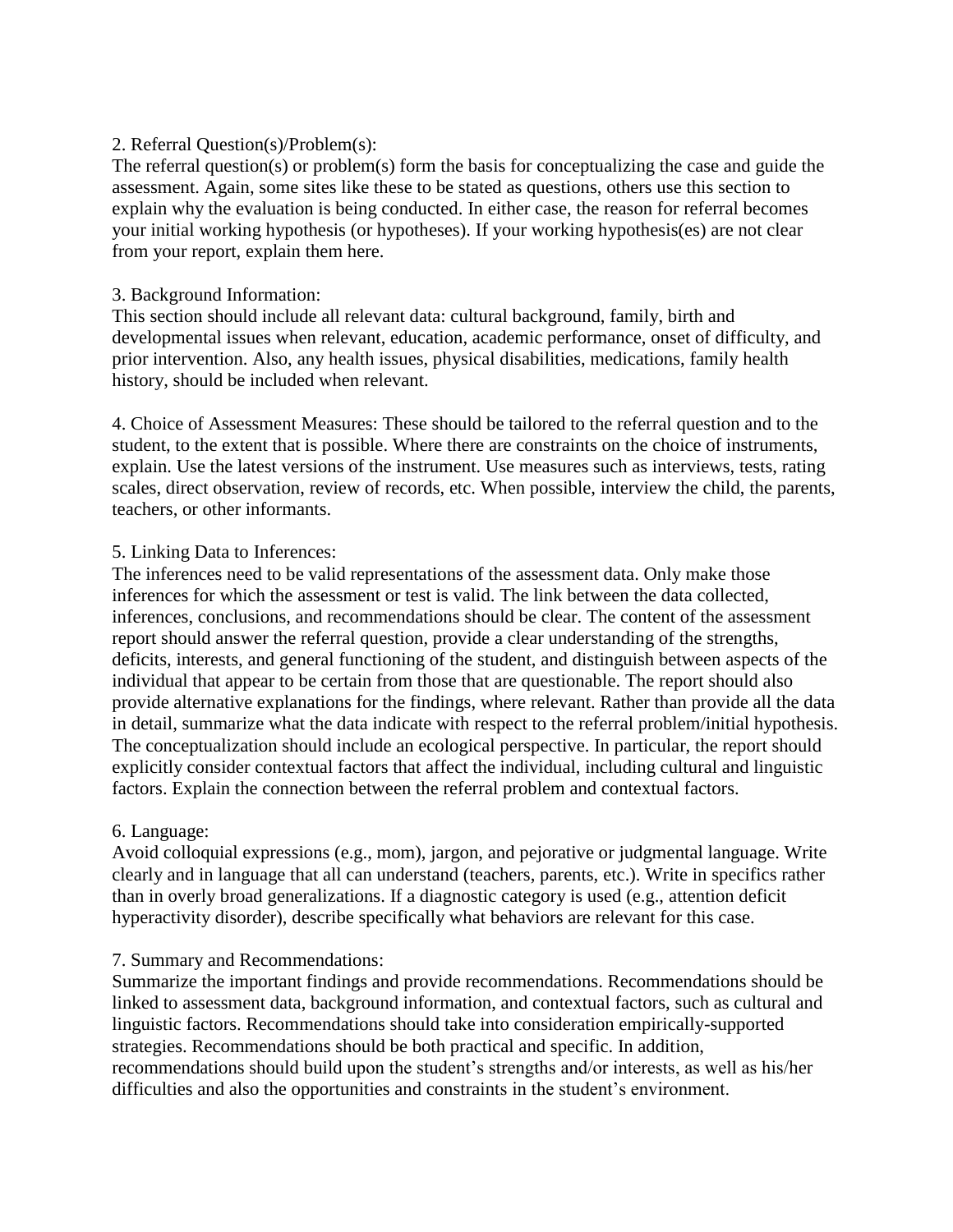### 2. Referral Question(s)/Problem(s):

The referral question(s) or problem(s) form the basis for conceptualizing the case and guide the assessment. Again, some sites like these to be stated as questions, others use this section to explain why the evaluation is being conducted. In either case, the reason for referral becomes your initial working hypothesis (or hypotheses). If your working hypothesis(es) are not clear from your report, explain them here.

### 3. Background Information:

This section should include all relevant data: cultural background, family, birth and developmental issues when relevant, education, academic performance, onset of difficulty, and prior intervention. Also, any health issues, physical disabilities, medications, family health history, should be included when relevant.

4. Choice of Assessment Measures: These should be tailored to the referral question and to the student, to the extent that is possible. Where there are constraints on the choice of instruments, explain. Use the latest versions of the instrument. Use measures such as interviews, tests, rating scales, direct observation, review of records, etc. When possible, interview the child, the parents, teachers, or other informants.

### 5. Linking Data to Inferences:

The inferences need to be valid representations of the assessment data. Only make those inferences for which the assessment or test is valid. The link between the data collected, inferences, conclusions, and recommendations should be clear. The content of the assessment report should answer the referral question, provide a clear understanding of the strengths, deficits, interests, and general functioning of the student, and distinguish between aspects of the individual that appear to be certain from those that are questionable. The report should also provide alternative explanations for the findings, where relevant. Rather than provide all the data in detail, summarize what the data indicate with respect to the referral problem/initial hypothesis. The conceptualization should include an ecological perspective. In particular, the report should explicitly consider contextual factors that affect the individual, including cultural and linguistic factors. Explain the connection between the referral problem and contextual factors.

## 6. Language:

Avoid colloquial expressions (e.g., mom), jargon, and pejorative or judgmental language. Write clearly and in language that all can understand (teachers, parents, etc.). Write in specifics rather than in overly broad generalizations. If a diagnostic category is used (e.g., attention deficit hyperactivity disorder), describe specifically what behaviors are relevant for this case.

### 7. Summary and Recommendations:

Summarize the important findings and provide recommendations. Recommendations should be linked to assessment data, background information, and contextual factors, such as cultural and linguistic factors. Recommendations should take into consideration empirically-supported strategies. Recommendations should be both practical and specific. In addition, recommendations should build upon the student's strengths and/or interests, as well as his/her difficulties and also the opportunities and constraints in the student's environment.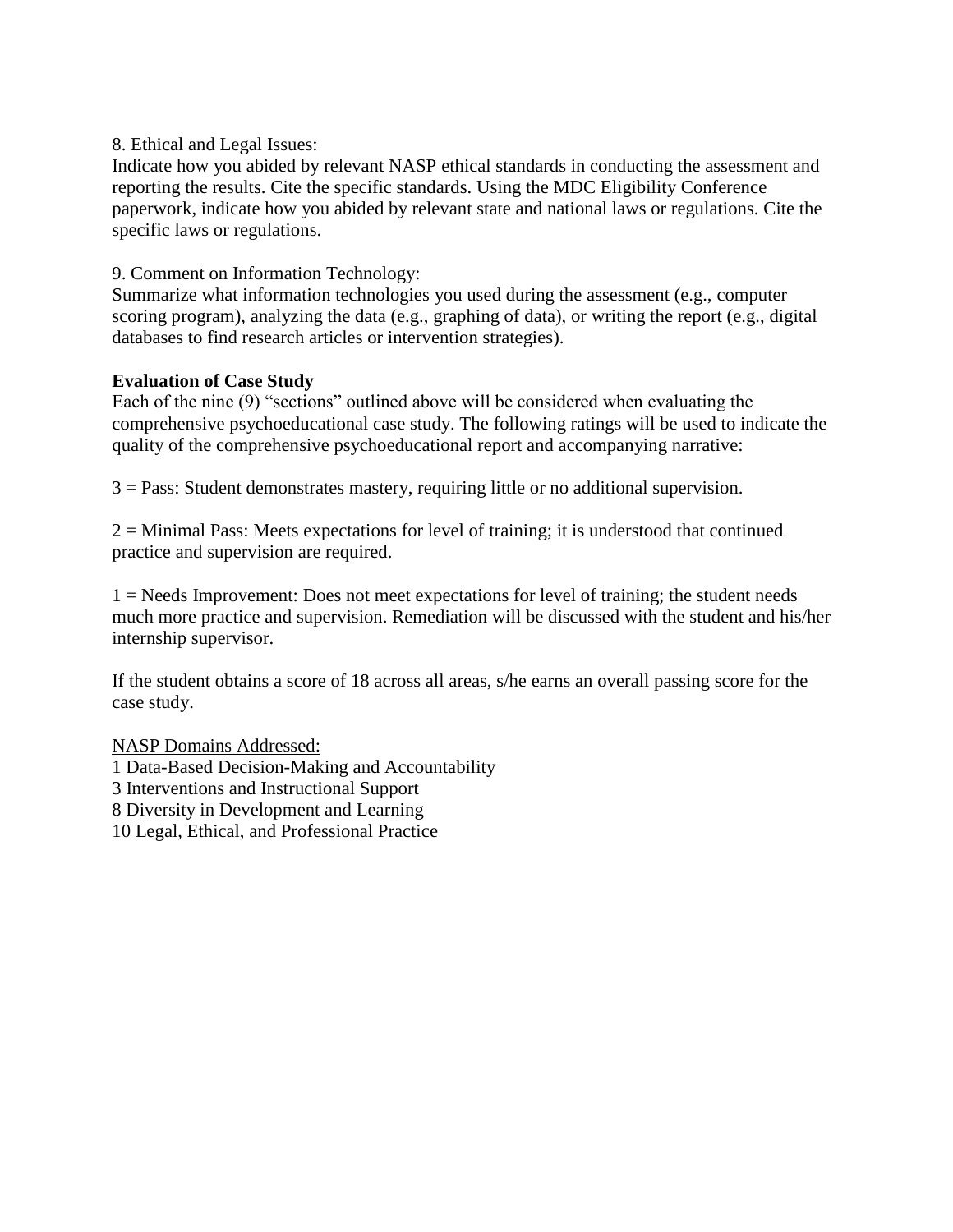### 8. Ethical and Legal Issues:

Indicate how you abided by relevant NASP ethical standards in conducting the assessment and reporting the results. Cite the specific standards. Using the MDC Eligibility Conference paperwork, indicate how you abided by relevant state and national laws or regulations. Cite the specific laws or regulations.

## 9. Comment on Information Technology:

Summarize what information technologies you used during the assessment (e.g., computer scoring program), analyzing the data (e.g., graphing of data), or writing the report (e.g., digital databases to find research articles or intervention strategies).

## **Evaluation of Case Study**

Each of the nine (9) "sections" outlined above will be considered when evaluating the comprehensive psychoeducational case study. The following ratings will be used to indicate the quality of the comprehensive psychoeducational report and accompanying narrative:

3 = Pass: Student demonstrates mastery, requiring little or no additional supervision.

2 = Minimal Pass: Meets expectations for level of training; it is understood that continued practice and supervision are required.

1 = Needs Improvement: Does not meet expectations for level of training; the student needs much more practice and supervision. Remediation will be discussed with the student and his/her internship supervisor.

If the student obtains a score of 18 across all areas, s/he earns an overall passing score for the case study.

NASP Domains Addressed:

1 Data-Based Decision-Making and Accountability

3 Interventions and Instructional Support

8 Diversity in Development and Learning

10 Legal, Ethical, and Professional Practice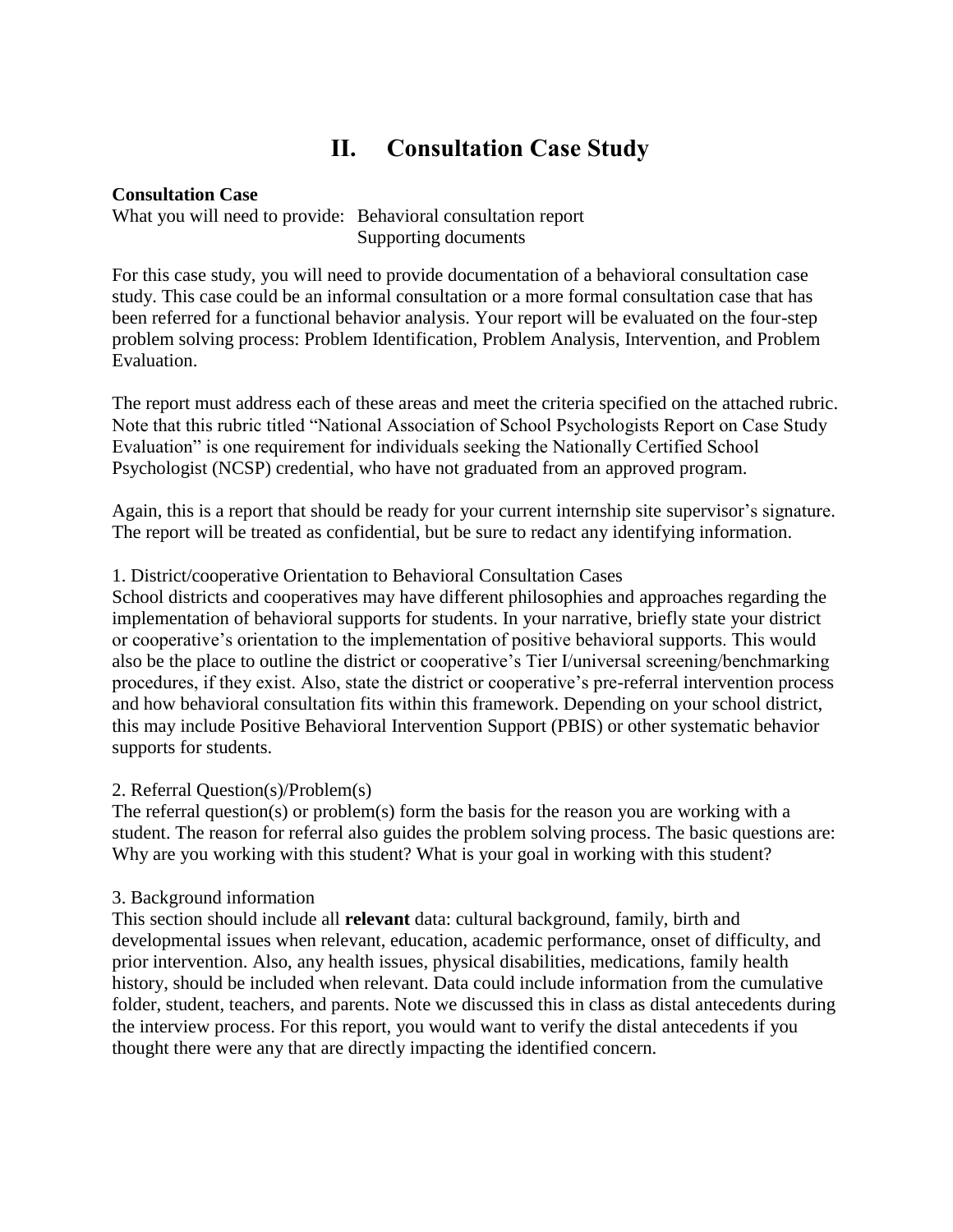# **II. Consultation Case Study**

### **Consultation Case**

What you will need to provide: Behavioral consultation report Supporting documents

For this case study, you will need to provide documentation of a behavioral consultation case study. This case could be an informal consultation or a more formal consultation case that has been referred for a functional behavior analysis. Your report will be evaluated on the four-step problem solving process: Problem Identification, Problem Analysis, Intervention, and Problem Evaluation.

The report must address each of these areas and meet the criteria specified on the attached rubric. Note that this rubric titled "National Association of School Psychologists Report on Case Study Evaluation" is one requirement for individuals seeking the Nationally Certified School Psychologist (NCSP) credential, who have not graduated from an approved program.

Again, this is a report that should be ready for your current internship site supervisor's signature. The report will be treated as confidential, but be sure to redact any identifying information.

### 1. District/cooperative Orientation to Behavioral Consultation Cases

School districts and cooperatives may have different philosophies and approaches regarding the implementation of behavioral supports for students. In your narrative, briefly state your district or cooperative's orientation to the implementation of positive behavioral supports. This would also be the place to outline the district or cooperative's Tier I/universal screening/benchmarking procedures, if they exist. Also, state the district or cooperative's pre-referral intervention process and how behavioral consultation fits within this framework. Depending on your school district, this may include Positive Behavioral Intervention Support (PBIS) or other systematic behavior supports for students.

### 2. Referral Question(s)/Problem(s)

The referral question(s) or problem(s) form the basis for the reason you are working with a student. The reason for referral also guides the problem solving process. The basic questions are: Why are you working with this student? What is your goal in working with this student?

### 3. Background information

This section should include all **relevant** data: cultural background, family, birth and developmental issues when relevant, education, academic performance, onset of difficulty, and prior intervention. Also, any health issues, physical disabilities, medications, family health history, should be included when relevant. Data could include information from the cumulative folder, student, teachers, and parents. Note we discussed this in class as distal antecedents during the interview process. For this report, you would want to verify the distal antecedents if you thought there were any that are directly impacting the identified concern.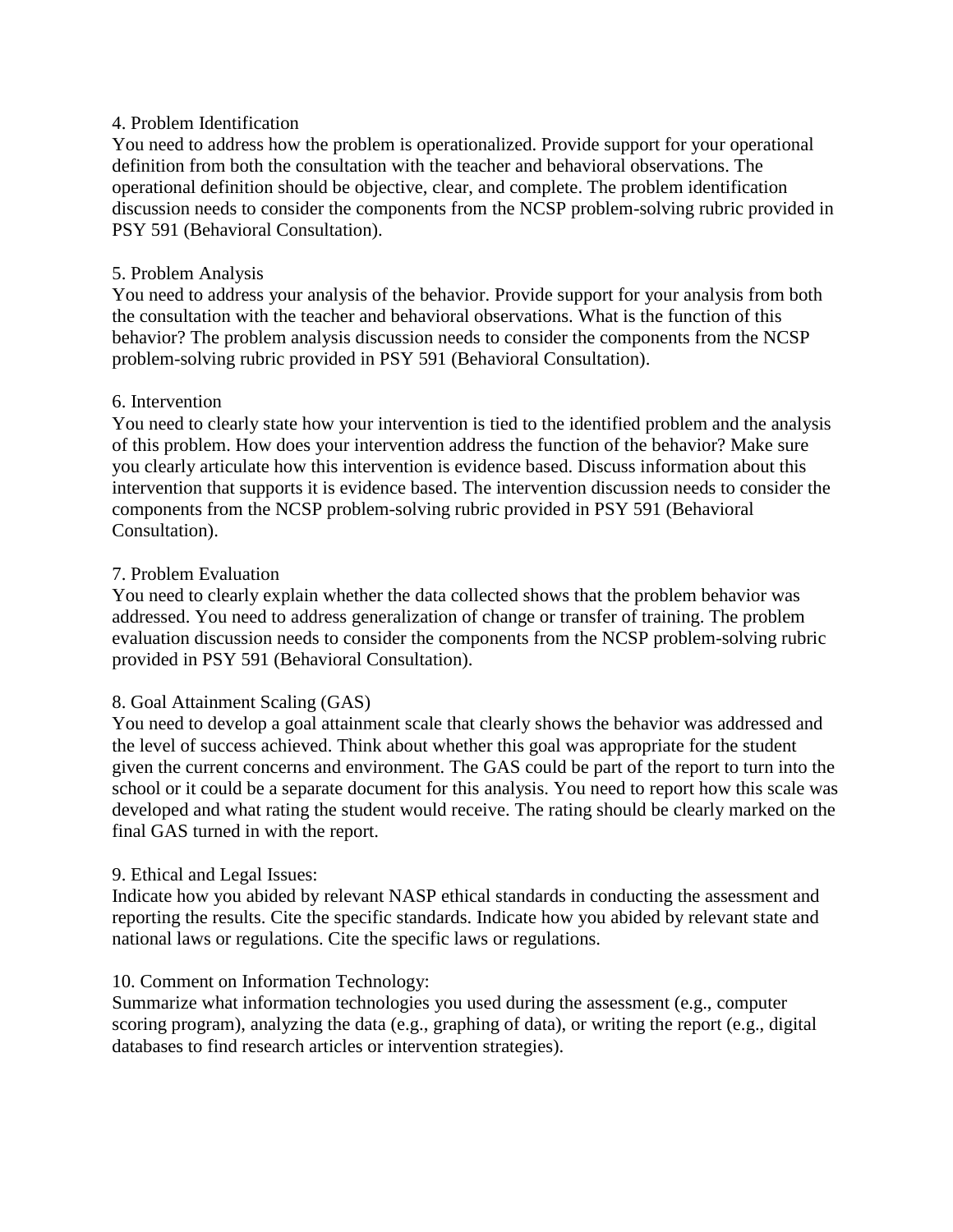### 4. Problem Identification

You need to address how the problem is operationalized. Provide support for your operational definition from both the consultation with the teacher and behavioral observations. The operational definition should be objective, clear, and complete. The problem identification discussion needs to consider the components from the NCSP problem-solving rubric provided in PSY 591 (Behavioral Consultation).

### 5. Problem Analysis

You need to address your analysis of the behavior. Provide support for your analysis from both the consultation with the teacher and behavioral observations. What is the function of this behavior? The problem analysis discussion needs to consider the components from the NCSP problem-solving rubric provided in PSY 591 (Behavioral Consultation).

### 6. Intervention

You need to clearly state how your intervention is tied to the identified problem and the analysis of this problem. How does your intervention address the function of the behavior? Make sure you clearly articulate how this intervention is evidence based. Discuss information about this intervention that supports it is evidence based. The intervention discussion needs to consider the components from the NCSP problem-solving rubric provided in PSY 591 (Behavioral Consultation).

### 7. Problem Evaluation

You need to clearly explain whether the data collected shows that the problem behavior was addressed. You need to address generalization of change or transfer of training. The problem evaluation discussion needs to consider the components from the NCSP problem-solving rubric provided in PSY 591 (Behavioral Consultation).

### 8. Goal Attainment Scaling (GAS)

You need to develop a goal attainment scale that clearly shows the behavior was addressed and the level of success achieved. Think about whether this goal was appropriate for the student given the current concerns and environment. The GAS could be part of the report to turn into the school or it could be a separate document for this analysis. You need to report how this scale was developed and what rating the student would receive. The rating should be clearly marked on the final GAS turned in with the report.

### 9. Ethical and Legal Issues:

Indicate how you abided by relevant NASP ethical standards in conducting the assessment and reporting the results. Cite the specific standards. Indicate how you abided by relevant state and national laws or regulations. Cite the specific laws or regulations.

### 10. Comment on Information Technology:

Summarize what information technologies you used during the assessment (e.g., computer scoring program), analyzing the data (e.g., graphing of data), or writing the report (e.g., digital databases to find research articles or intervention strategies).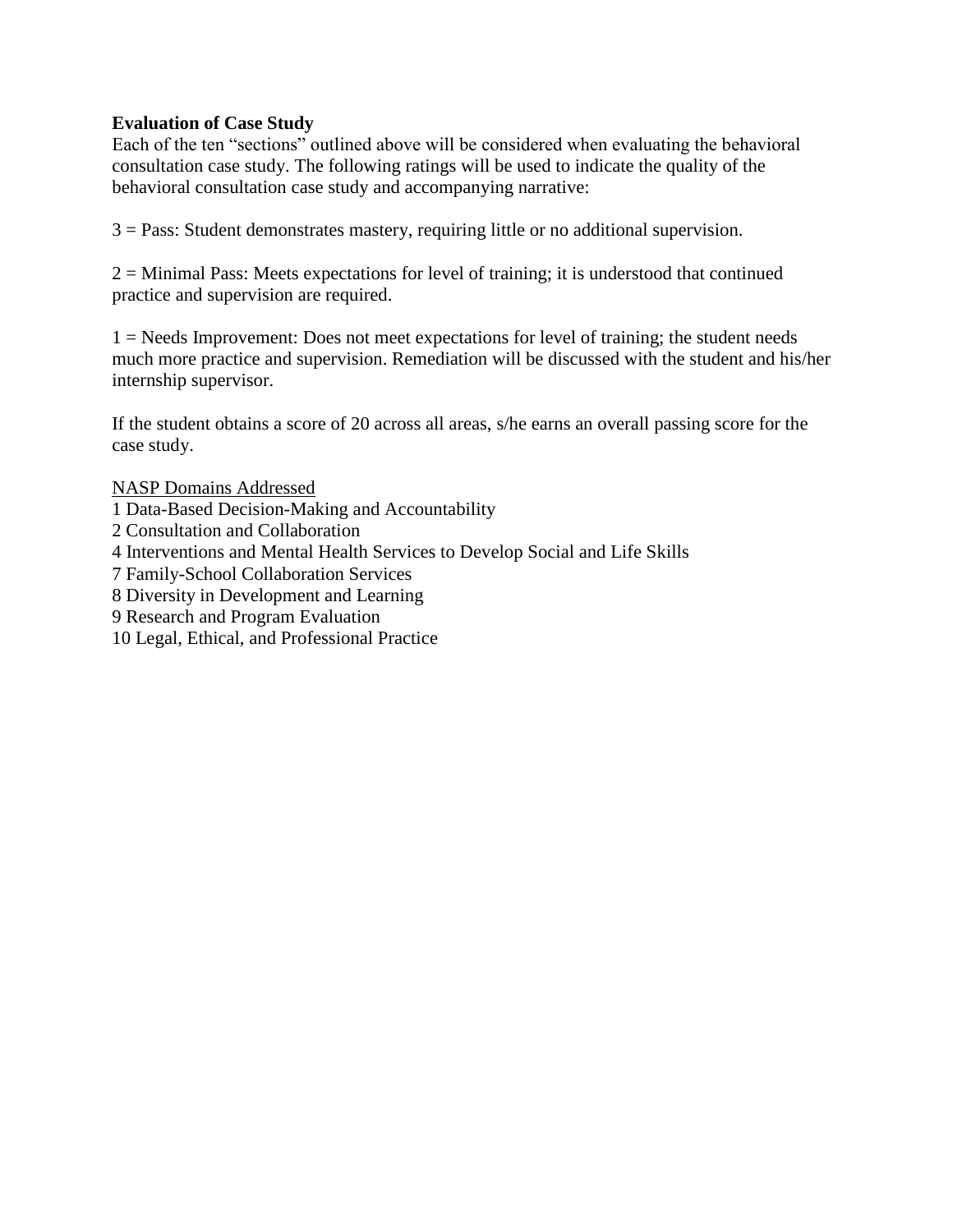### **Evaluation of Case Study**

Each of the ten "sections" outlined above will be considered when evaluating the behavioral consultation case study. The following ratings will be used to indicate the quality of the behavioral consultation case study and accompanying narrative:

3 = Pass: Student demonstrates mastery, requiring little or no additional supervision.

2 = Minimal Pass: Meets expectations for level of training; it is understood that continued practice and supervision are required.

1 = Needs Improvement: Does not meet expectations for level of training; the student needs much more practice and supervision. Remediation will be discussed with the student and his/her internship supervisor.

If the student obtains a score of 20 across all areas, s/he earns an overall passing score for the case study.

NASP Domains Addressed

- 1 Data-Based Decision-Making and Accountability
- 2 Consultation and Collaboration
- 4 Interventions and Mental Health Services to Develop Social and Life Skills
- 7 Family-School Collaboration Services
- 8 Diversity in Development and Learning
- 9 Research and Program Evaluation
- 10 Legal, Ethical, and Professional Practice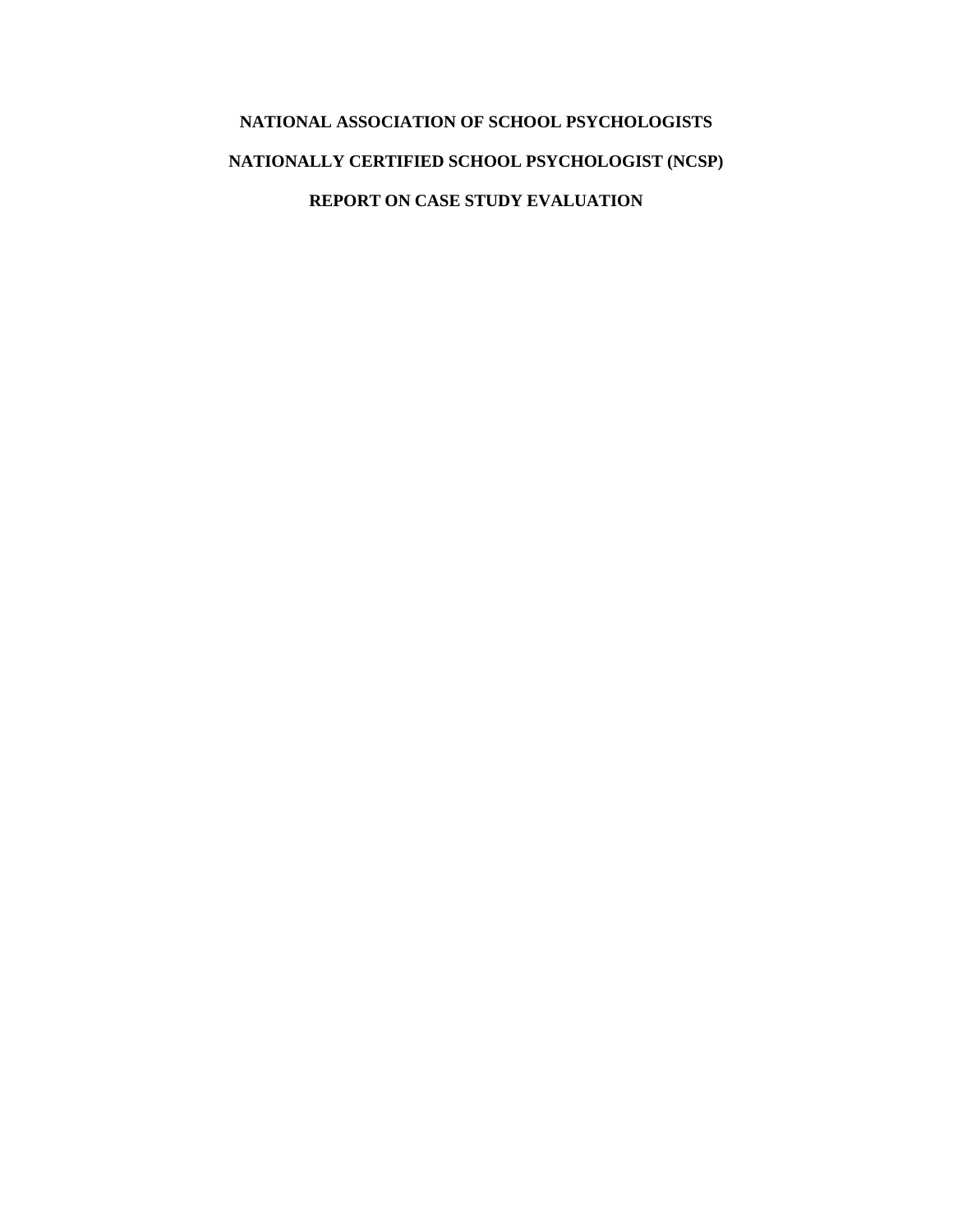# **NATIONAL ASSOCIATION OF SCHOOL PSYCHOLOGISTS NATIONALLY CERTIFIED SCHOOL PSYCHOLOGIST (NCSP) REPORT ON CASE STUDY EVALUATION**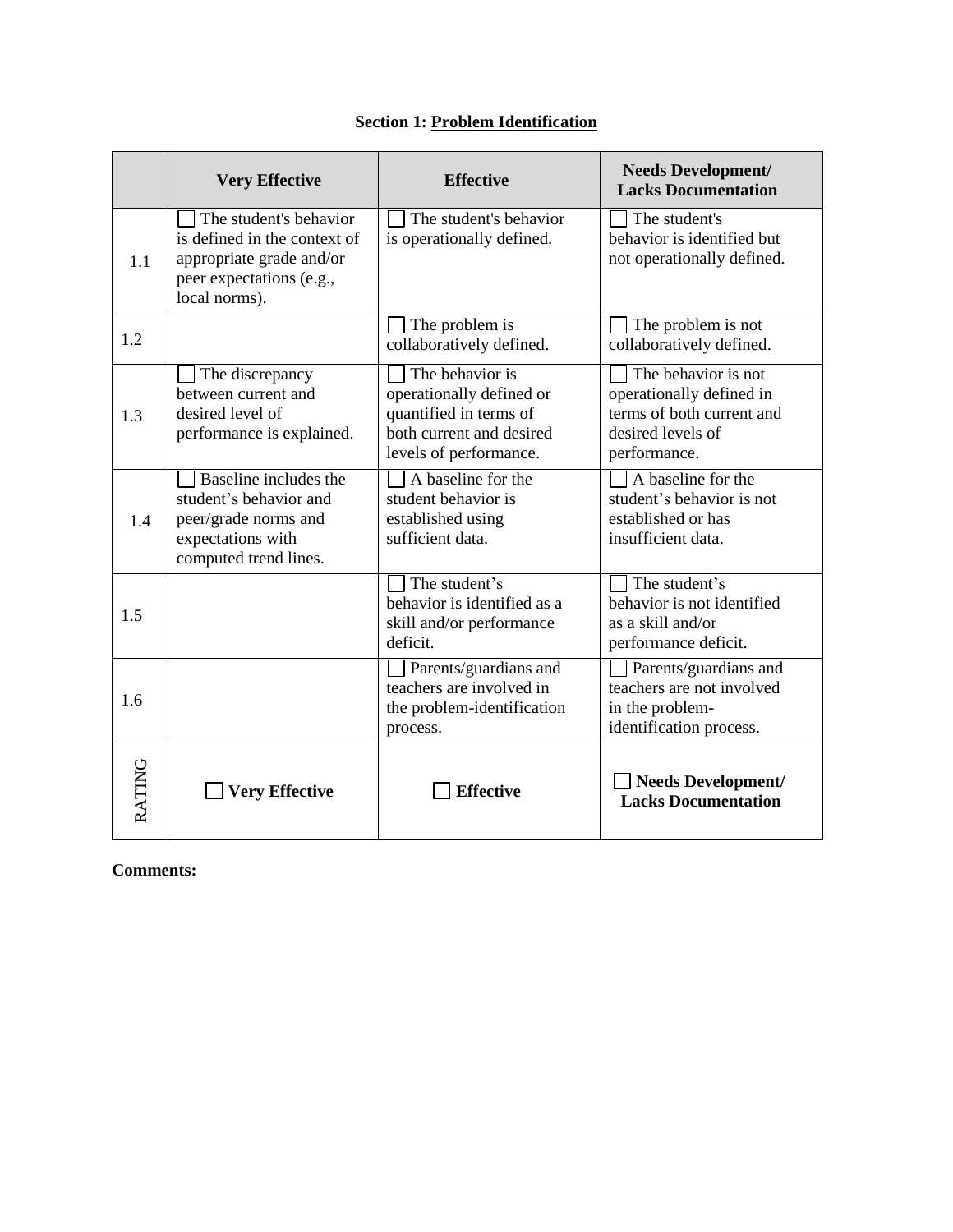|        | <b>Very Effective</b>                                                                                                           | <b>Effective</b>                                                                                                            | <b>Needs Development/</b><br><b>Lacks Documentation</b>                                                           |
|--------|---------------------------------------------------------------------------------------------------------------------------------|-----------------------------------------------------------------------------------------------------------------------------|-------------------------------------------------------------------------------------------------------------------|
| 1.1    | The student's behavior<br>is defined in the context of<br>appropriate grade and/or<br>peer expectations (e.g.,<br>local norms). | The student's behavior<br>is operationally defined.                                                                         | The student's<br>behavior is identified but<br>not operationally defined.                                         |
| 1.2    |                                                                                                                                 | The problem is<br>collaboratively defined.                                                                                  | The problem is not<br>collaboratively defined.                                                                    |
| 1.3    | The discrepancy<br>between current and<br>desired level of<br>performance is explained.                                         | The behavior is<br>operationally defined or<br>quantified in terms of<br>both current and desired<br>levels of performance. | The behavior is not<br>operationally defined in<br>terms of both current and<br>desired levels of<br>performance. |
| 1.4    | Baseline includes the<br>student's behavior and<br>peer/grade norms and<br>expectations with<br>computed trend lines.           | A baseline for the<br>student behavior is<br>established using<br>sufficient data.                                          | A baseline for the<br>student's behavior is not<br>established or has<br>insufficient data.                       |
| 1.5    |                                                                                                                                 | The student's<br>behavior is identified as a<br>skill and/or performance<br>deficit.                                        | The student's<br>behavior is not identified<br>as a skill and/or<br>performance deficit.                          |
| 1.6    |                                                                                                                                 | Parents/guardians and<br>teachers are involved in<br>the problem-identification<br>process.                                 | Parents/guardians and<br>teachers are not involved<br>in the problem-<br>identification process.                  |
| RATING | <b>Very Effective</b>                                                                                                           | <b>Effective</b>                                                                                                            | <b>Needs Development/</b><br><b>Lacks Documentation</b>                                                           |

# **Section 1: Problem Identification**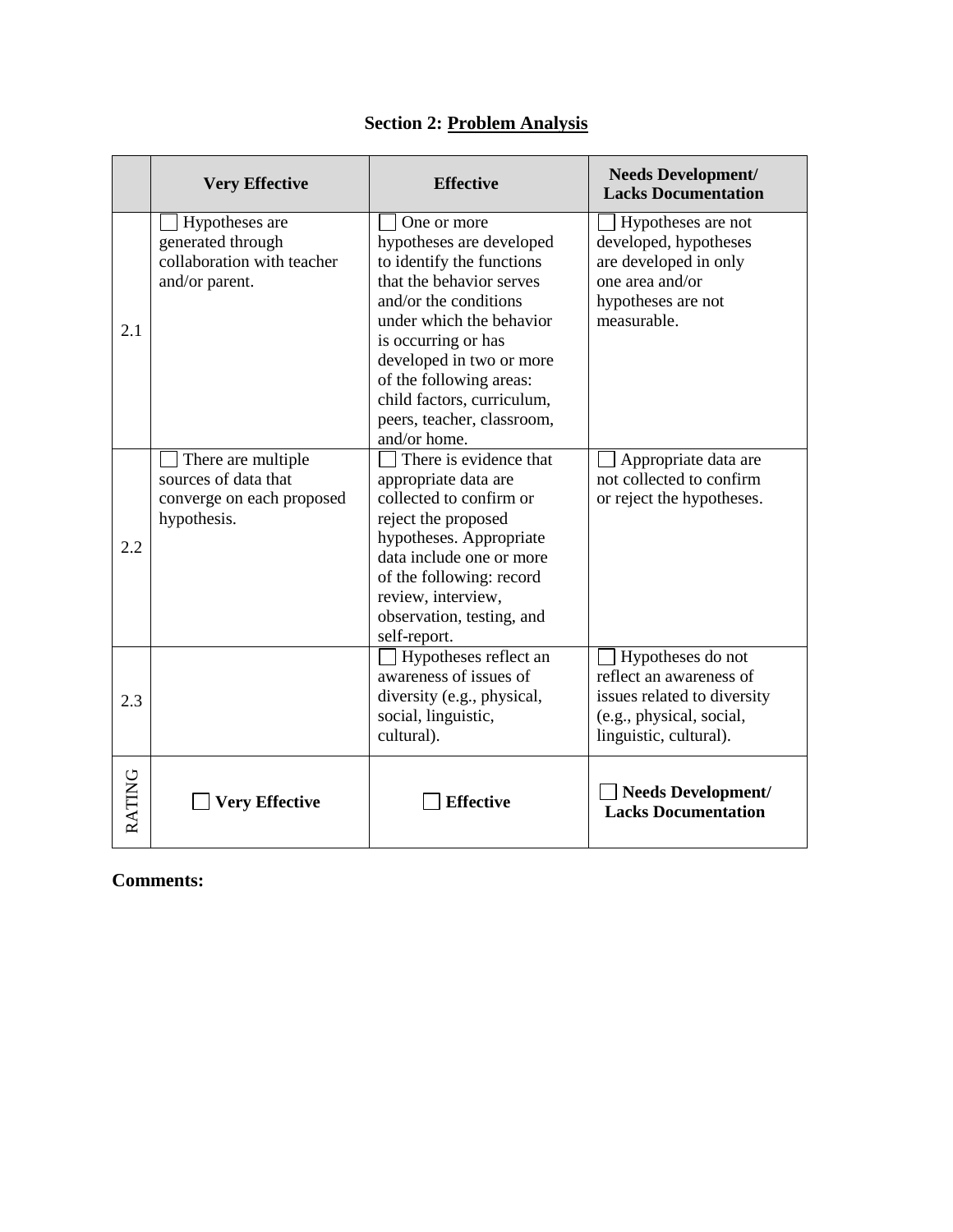|        | <b>Very Effective</b>                                                                  | <b>Effective</b>                                                                                                                                                                                                                                                                                                | <b>Needs Development/</b><br><b>Lacks Documentation</b>                                                                           |
|--------|----------------------------------------------------------------------------------------|-----------------------------------------------------------------------------------------------------------------------------------------------------------------------------------------------------------------------------------------------------------------------------------------------------------------|-----------------------------------------------------------------------------------------------------------------------------------|
| 2.1    | Hypotheses are<br>generated through<br>collaboration with teacher<br>and/or parent.    | One or more<br>hypotheses are developed<br>to identify the functions<br>that the behavior serves<br>and/or the conditions<br>under which the behavior<br>is occurring or has<br>developed in two or more<br>of the following areas:<br>child factors, curriculum,<br>peers, teacher, classroom,<br>and/or home. | Hypotheses are not<br>developed, hypotheses<br>are developed in only<br>one area and/or<br>hypotheses are not<br>measurable.      |
| 2.2    | There are multiple<br>sources of data that<br>converge on each proposed<br>hypothesis. | There is evidence that<br>appropriate data are<br>collected to confirm or<br>reject the proposed<br>hypotheses. Appropriate<br>data include one or more<br>of the following: record<br>review, interview,<br>observation, testing, and<br>self-report.                                                          | Appropriate data are<br>not collected to confirm<br>or reject the hypotheses.                                                     |
| 2.3    |                                                                                        | Hypotheses reflect an<br>awareness of issues of<br>diversity (e.g., physical,<br>social, linguistic,<br>cultural).                                                                                                                                                                                              | Hypotheses do not<br>reflect an awareness of<br>issues related to diversity<br>(e.g., physical, social,<br>linguistic, cultural). |
| RATING | <b>Very Effective</b>                                                                  | <b>Effective</b>                                                                                                                                                                                                                                                                                                | <b>Needs Development/</b><br><b>Lacks Documentation</b>                                                                           |

# **Section 2: Problem Analysis**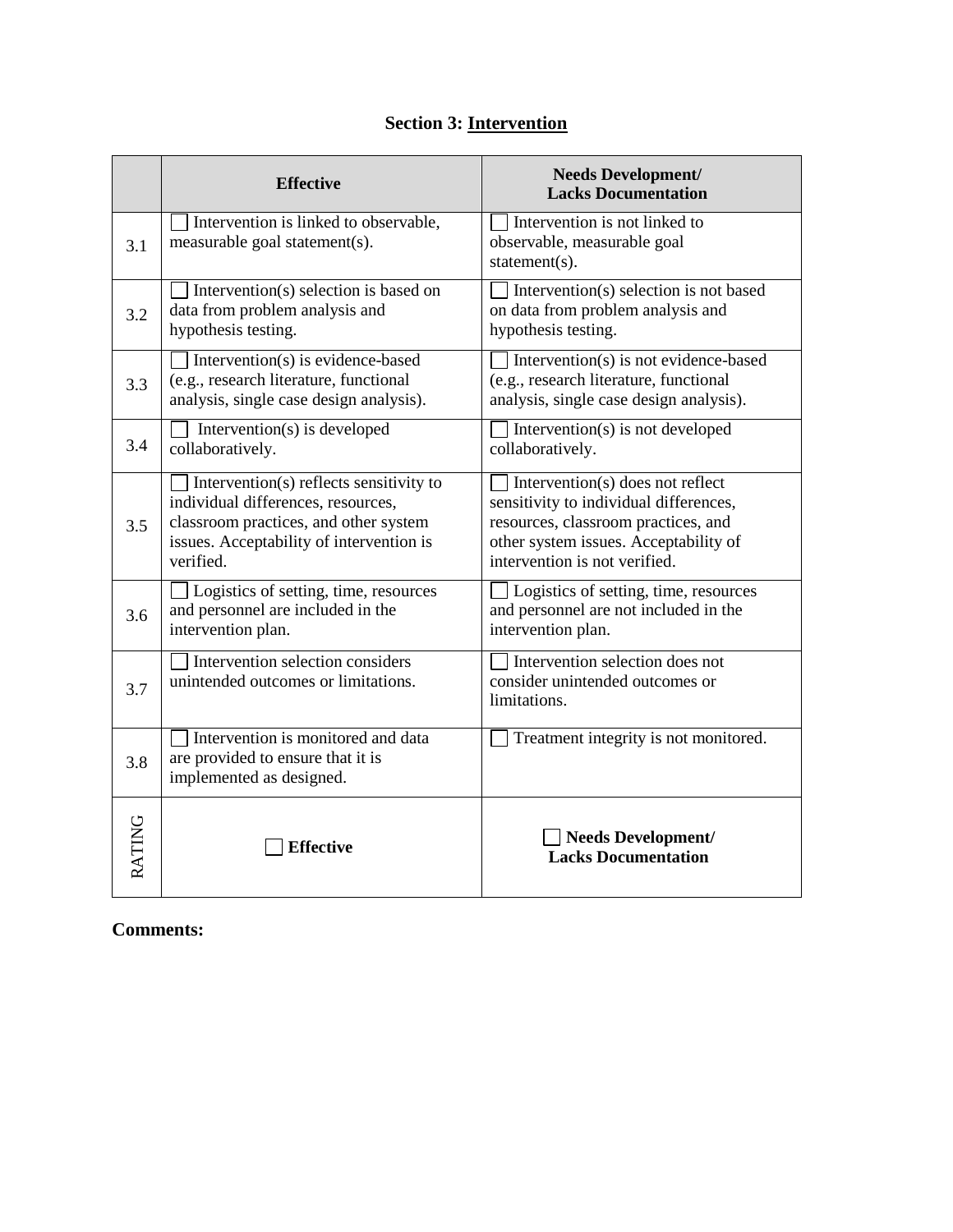# **Section 3: Intervention**

|               | <b>Effective</b>                                                                                                                                                                | <b>Needs Development/</b><br><b>Lacks Documentation</b>                                                                                                                                     |
|---------------|---------------------------------------------------------------------------------------------------------------------------------------------------------------------------------|---------------------------------------------------------------------------------------------------------------------------------------------------------------------------------------------|
| 3.1           | Intervention is linked to observable,<br>measurable goal statement(s).                                                                                                          | Intervention is not linked to<br>observable, measurable goal<br>statement(s).                                                                                                               |
| 3.2           | Intervention(s) selection is based on<br>data from problem analysis and<br>hypothesis testing.                                                                                  | Intervention(s) selection is not based<br>on data from problem analysis and<br>hypothesis testing.                                                                                          |
| 3.3           | Intervention(s) is evidence-based<br>(e.g., research literature, functional<br>analysis, single case design analysis).                                                          | Intervention(s) is not evidence-based<br>(e.g., research literature, functional<br>analysis, single case design analysis).                                                                  |
| 3.4           | Intervention(s) is developed<br>collaboratively.                                                                                                                                | Intervention(s) is not developed<br>collaboratively.                                                                                                                                        |
| 3.5           | Intervention(s) reflects sensitivity to<br>individual differences, resources,<br>classroom practices, and other system<br>issues. Acceptability of intervention is<br>verified. | Intervention(s) does not reflect<br>sensitivity to individual differences,<br>resources, classroom practices, and<br>other system issues. Acceptability of<br>intervention is not verified. |
| 3.6           | Logistics of setting, time, resources<br>and personnel are included in the<br>intervention plan.                                                                                | Logistics of setting, time, resources<br>and personnel are not included in the<br>intervention plan.                                                                                        |
| 3.7           | Intervention selection considers<br>unintended outcomes or limitations.                                                                                                         | Intervention selection does not<br>consider unintended outcomes or<br>limitations.                                                                                                          |
| 3.8           | Intervention is monitored and data<br>are provided to ensure that it is<br>implemented as designed.                                                                             | Treatment integrity is not monitored.                                                                                                                                                       |
| <b>RATING</b> | <b>Effective</b>                                                                                                                                                                | Needs Development/<br><b>Lacks Documentation</b>                                                                                                                                            |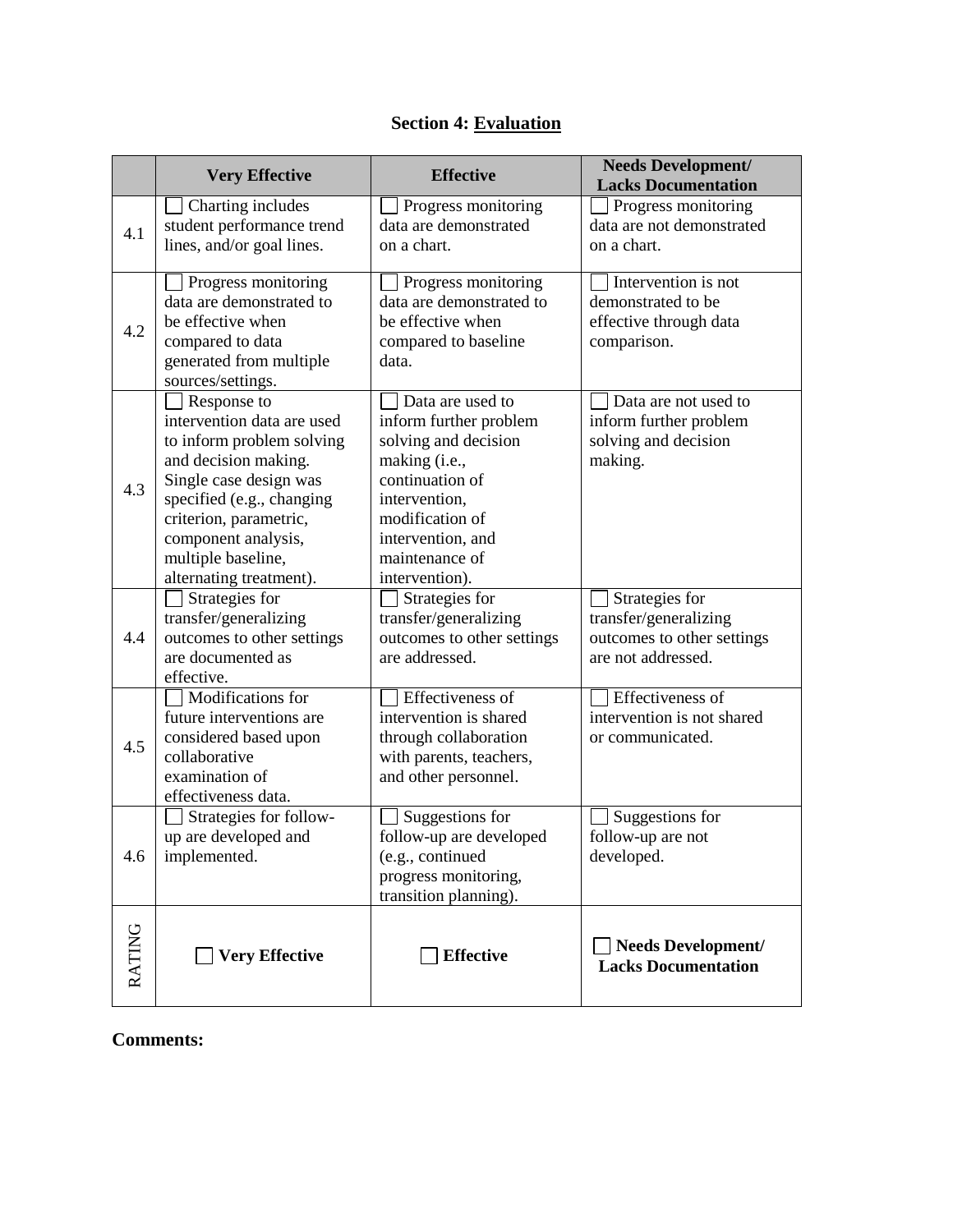| <b>Section 4: Evaluation</b> |  |  |
|------------------------------|--|--|
|                              |  |  |

|               | <b>Very Effective</b>                                                                                                                                                                                                                                   | <b>Effective</b>                                                                                                                                                                                    | <b>Needs Development/</b><br><b>Lacks Documentation</b>                                     |
|---------------|---------------------------------------------------------------------------------------------------------------------------------------------------------------------------------------------------------------------------------------------------------|-----------------------------------------------------------------------------------------------------------------------------------------------------------------------------------------------------|---------------------------------------------------------------------------------------------|
| 4.1           | Charting includes<br>student performance trend<br>lines, and/or goal lines.                                                                                                                                                                             | Progress monitoring<br>data are demonstrated<br>on a chart.                                                                                                                                         | Progress monitoring<br>data are not demonstrated<br>on a chart.                             |
| 4.2           | Progress monitoring<br>data are demonstrated to<br>be effective when<br>compared to data<br>generated from multiple<br>sources/settings.                                                                                                                | Progress monitoring<br>data are demonstrated to<br>be effective when<br>compared to baseline<br>data.                                                                                               | Intervention is not<br>demonstrated to be<br>effective through data<br>comparison.          |
| 4.3           | Response to<br>intervention data are used<br>to inform problem solving<br>and decision making.<br>Single case design was<br>specified (e.g., changing<br>criterion, parametric,<br>component analysis,<br>multiple baseline,<br>alternating treatment). | Data are used to<br>inform further problem<br>solving and decision<br>making (i.e.,<br>continuation of<br>intervention,<br>modification of<br>intervention, and<br>maintenance of<br>intervention). | Data are not used to<br>inform further problem<br>solving and decision<br>making.           |
| 4.4           | Strategies for<br>transfer/generalizing<br>outcomes to other settings<br>are documented as<br>effective.                                                                                                                                                | Strategies for<br>transfer/generalizing<br>outcomes to other settings<br>are addressed.                                                                                                             | Strategies for<br>transfer/generalizing<br>outcomes to other settings<br>are not addressed. |
| 4.5           | <b>Modifications</b> for<br>future interventions are<br>considered based upon<br>collaborative<br>examination of<br>effectiveness data.                                                                                                                 | Effectiveness of<br>intervention is shared<br>through collaboration<br>with parents, teachers,<br>and other personnel.                                                                              | Effectiveness of<br>intervention is not shared<br>or communicated.                          |
| 4.6           | Strategies for follow-<br>up are developed and<br>implemented.                                                                                                                                                                                          | Suggestions for<br>follow-up are developed<br>(e.g., continued<br>progress monitoring,<br>transition planning).                                                                                     | Suggestions for<br>follow-up are not<br>developed.                                          |
| <b>RATING</b> | Very Effective                                                                                                                                                                                                                                          | <b>Effective</b>                                                                                                                                                                                    | <b>Needs Development/</b><br><b>Lacks Documentation</b>                                     |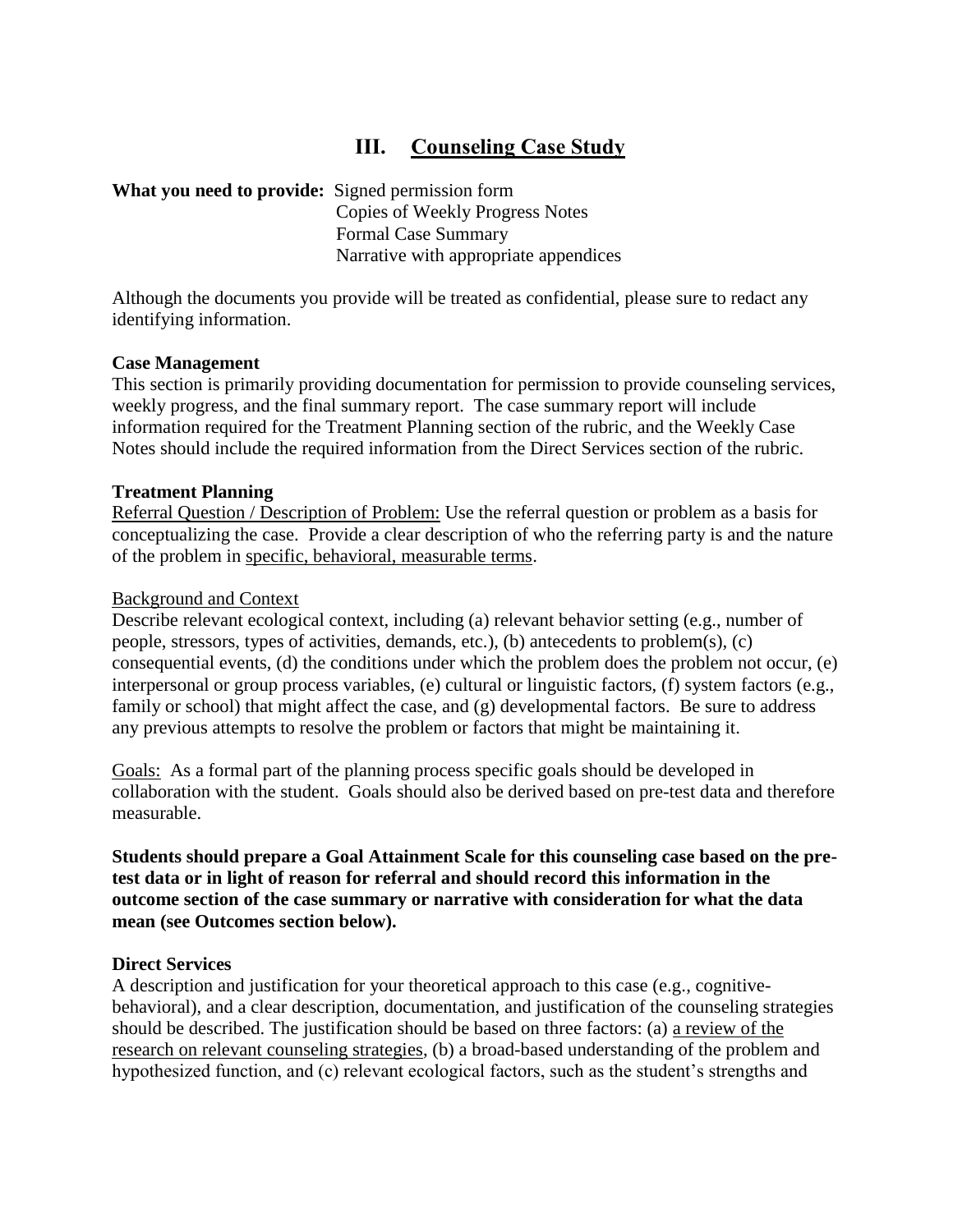# **III. Counseling Case Study**

### **What you need to provide:** Signed permission form

Copies of Weekly Progress Notes Formal Case Summary Narrative with appropriate appendices

Although the documents you provide will be treated as confidential, please sure to redact any identifying information.

### **Case Management**

This section is primarily providing documentation for permission to provide counseling services, weekly progress, and the final summary report. The case summary report will include information required for the Treatment Planning section of the rubric, and the Weekly Case Notes should include the required information from the Direct Services section of the rubric.

### **Treatment Planning**

Referral Question / Description of Problem: Use the referral question or problem as a basis for conceptualizing the case. Provide a clear description of who the referring party is and the nature of the problem in specific, behavioral, measurable terms.

### Background and Context

Describe relevant ecological context, including (a) relevant behavior setting (e.g., number of people, stressors, types of activities, demands, etc.), (b) antecedents to problem(s), (c) consequential events, (d) the conditions under which the problem does the problem not occur, (e) interpersonal or group process variables, (e) cultural or linguistic factors, (f) system factors (e.g., family or school) that might affect the case, and (g) developmental factors. Be sure to address any previous attempts to resolve the problem or factors that might be maintaining it.

Goals: As a formal part of the planning process specific goals should be developed in collaboration with the student. Goals should also be derived based on pre-test data and therefore measurable.

**Students should prepare a Goal Attainment Scale for this counseling case based on the pretest data or in light of reason for referral and should record this information in the outcome section of the case summary or narrative with consideration for what the data mean (see Outcomes section below).**

### **Direct Services**

A description and justification for your theoretical approach to this case (e.g., cognitivebehavioral), and a clear description, documentation, and justification of the counseling strategies should be described. The justification should be based on three factors: (a) a review of the research on relevant counseling strategies, (b) a broad-based understanding of the problem and hypothesized function, and (c) relevant ecological factors, such as the student's strengths and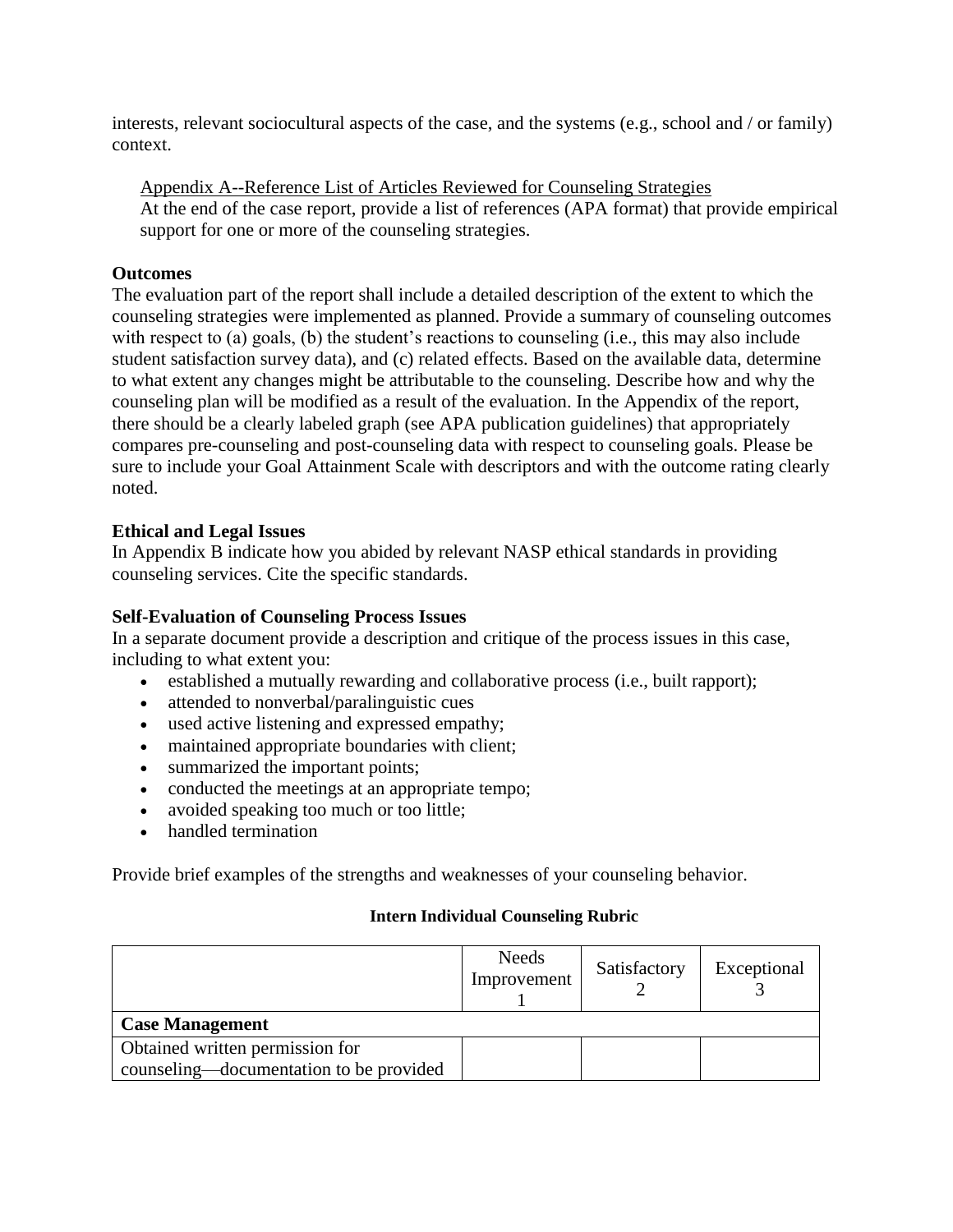interests, relevant sociocultural aspects of the case, and the systems (e.g., school and / or family) context.

Appendix A--Reference List of Articles Reviewed for Counseling Strategies At the end of the case report, provide a list of references (APA format) that provide empirical support for one or more of the counseling strategies.

### **Outcomes**

The evaluation part of the report shall include a detailed description of the extent to which the counseling strategies were implemented as planned. Provide a summary of counseling outcomes with respect to (a) goals, (b) the student's reactions to counseling (i.e., this may also include student satisfaction survey data), and (c) related effects. Based on the available data, determine to what extent any changes might be attributable to the counseling. Describe how and why the counseling plan will be modified as a result of the evaluation. In the Appendix of the report, there should be a clearly labeled graph (see APA publication guidelines) that appropriately compares pre-counseling and post-counseling data with respect to counseling goals. Please be sure to include your Goal Attainment Scale with descriptors and with the outcome rating clearly noted.

## **Ethical and Legal Issues**

In Appendix B indicate how you abided by relevant NASP ethical standards in providing counseling services. Cite the specific standards.

## **Self-Evaluation of Counseling Process Issues**

In a separate document provide a description and critique of the process issues in this case, including to what extent you:

- established a mutually rewarding and collaborative process (i.e., built rapport);
- attended to nonverbal/paralinguistic cues
- used active listening and expressed empathy;
- maintained appropriate boundaries with client;
- summarized the important points;
- conducted the meetings at an appropriate tempo;
- avoided speaking too much or too little;
- handled termination

Provide brief examples of the strengths and weaknesses of your counseling behavior.

### **Intern Individual Counseling Rubric**

|                                         | Needs<br>Improvement | Satisfactory | Exceptional |  |
|-----------------------------------------|----------------------|--------------|-------------|--|
| <b>Case Management</b>                  |                      |              |             |  |
| Obtained written permission for         |                      |              |             |  |
| counseling—documentation to be provided |                      |              |             |  |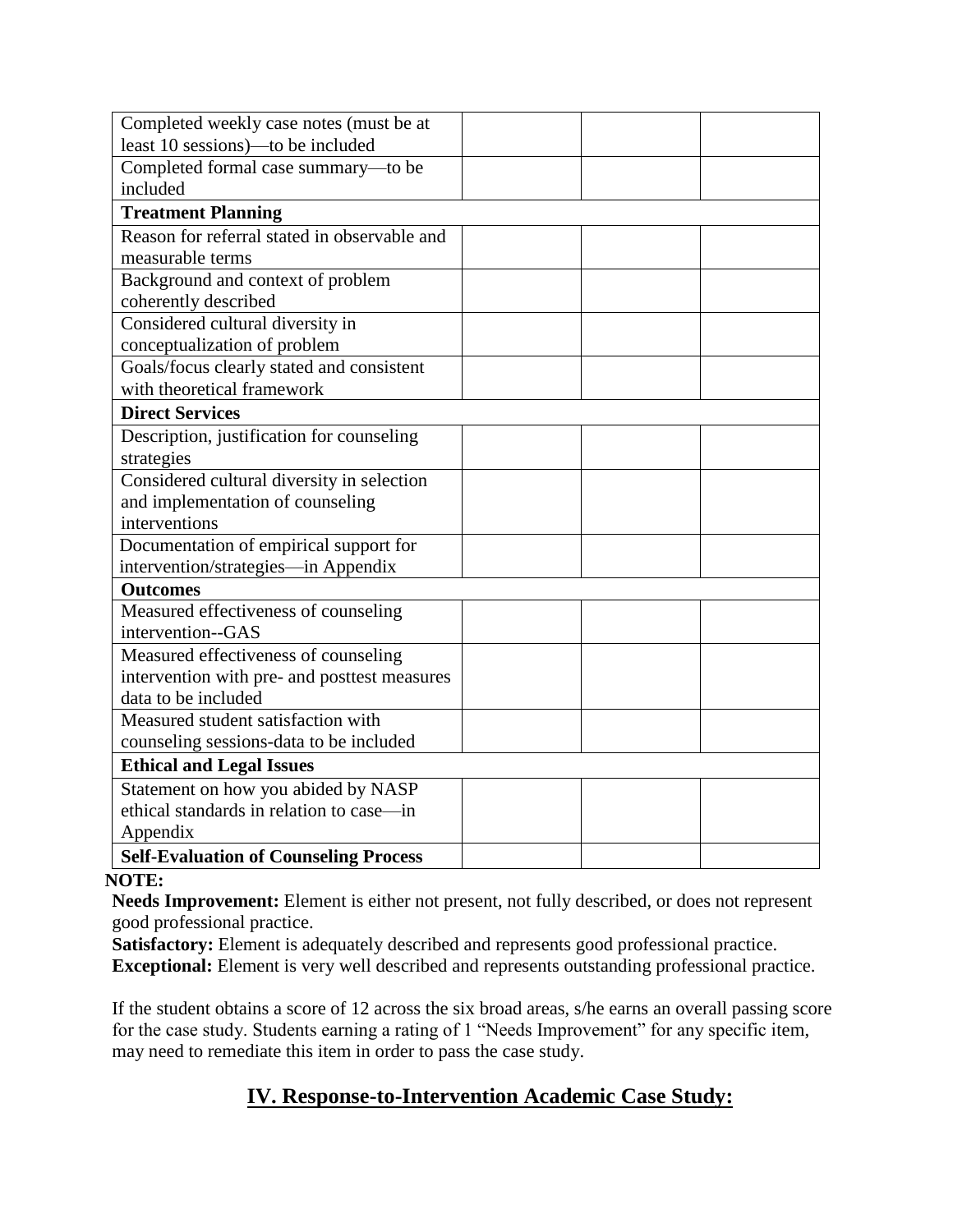| Completed weekly case notes (must be at      |  |  |  |
|----------------------------------------------|--|--|--|
| least 10 sessions)—to be included            |  |  |  |
| Completed formal case summary-to be          |  |  |  |
| included                                     |  |  |  |
| <b>Treatment Planning</b>                    |  |  |  |
| Reason for referral stated in observable and |  |  |  |
| measurable terms                             |  |  |  |
| Background and context of problem            |  |  |  |
| coherently described                         |  |  |  |
| Considered cultural diversity in             |  |  |  |
| conceptualization of problem                 |  |  |  |
| Goals/focus clearly stated and consistent    |  |  |  |
| with theoretical framework                   |  |  |  |
| <b>Direct Services</b>                       |  |  |  |
| Description, justification for counseling    |  |  |  |
| strategies                                   |  |  |  |
| Considered cultural diversity in selection   |  |  |  |
| and implementation of counseling             |  |  |  |
| interventions                                |  |  |  |
| Documentation of empirical support for       |  |  |  |
| intervention/strategies-in Appendix          |  |  |  |
| <b>Outcomes</b>                              |  |  |  |
| Measured effectiveness of counseling         |  |  |  |
| intervention--GAS                            |  |  |  |
| Measured effectiveness of counseling         |  |  |  |
| intervention with pre- and posttest measures |  |  |  |
| data to be included                          |  |  |  |
| Measured student satisfaction with           |  |  |  |
| counseling sessions-data to be included      |  |  |  |
| <b>Ethical and Legal Issues</b>              |  |  |  |
| Statement on how you abided by NASP          |  |  |  |
| ethical standards in relation to case—in     |  |  |  |
| Appendix                                     |  |  |  |
| <b>Self-Evaluation of Counseling Process</b> |  |  |  |

### **NOTE:**

**Needs Improvement:** Element is either not present, not fully described, or does not represent good professional practice.

Satisfactory: Element is adequately described and represents good professional practice. **Exceptional:** Element is very well described and represents outstanding professional practice.

If the student obtains a score of 12 across the six broad areas, s/he earns an overall passing score for the case study. Students earning a rating of 1 "Needs Improvement" for any specific item, may need to remediate this item in order to pass the case study.

# **IV. Response-to-Intervention Academic Case Study:**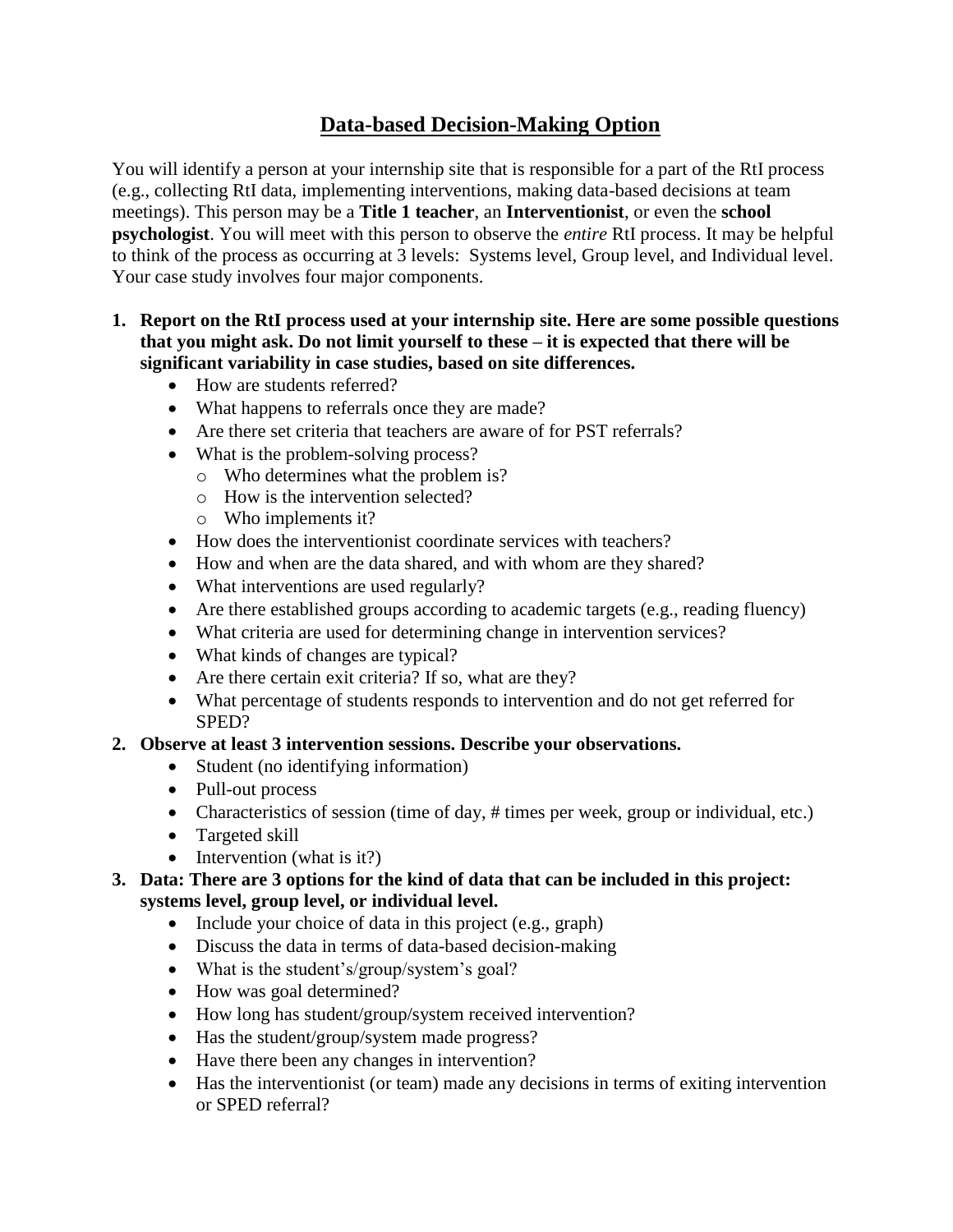# **Data-based Decision-Making Option**

You will identify a person at your internship site that is responsible for a part of the RtI process (e.g., collecting RtI data, implementing interventions, making data-based decisions at team meetings). This person may be a **Title 1 teacher**, an **Interventionist**, or even the **school psychologist**. You will meet with this person to observe the *entire* RtI process. It may be helpful to think of the process as occurring at 3 levels: Systems level, Group level, and Individual level. Your case study involves four major components.

## **1. Report on the RtI process used at your internship site. Here are some possible questions that you might ask. Do not limit yourself to these – it is expected that there will be significant variability in case studies, based on site differences.**

- How are students referred?
- What happens to referrals once they are made?
- Are there set criteria that teachers are aware of for PST referrals?
- What is the problem-solving process?
	- o Who determines what the problem is?
	- o How is the intervention selected?
	- o Who implements it?
- How does the interventionist coordinate services with teachers?
- How and when are the data shared, and with whom are they shared?
- What interventions are used regularly?
- Are there established groups according to academic targets (e.g., reading fluency)
- What criteria are used for determining change in intervention services?
- What kinds of changes are typical?
- Are there certain exit criteria? If so, what are they?
- What percentage of students responds to intervention and do not get referred for SPED?

## **2. Observe at least 3 intervention sessions. Describe your observations.**

- Student (no identifying information)
- Pull-out process
- Characteristics of session (time of day, # times per week, group or individual, etc.)
- Targeted skill
- $\bullet$  Intervention (what is it?)
- **3. Data: There are 3 options for the kind of data that can be included in this project: systems level, group level, or individual level.**
	- Include your choice of data in this project (e.g., graph)
	- Discuss the data in terms of data-based decision-making
	- What is the student's/group/system's goal?
	- How was goal determined?
	- How long has student/group/system received intervention?
	- Has the student/group/system made progress?
	- Have there been any changes in intervention?
	- Has the interventionist (or team) made any decisions in terms of exiting intervention or SPED referral?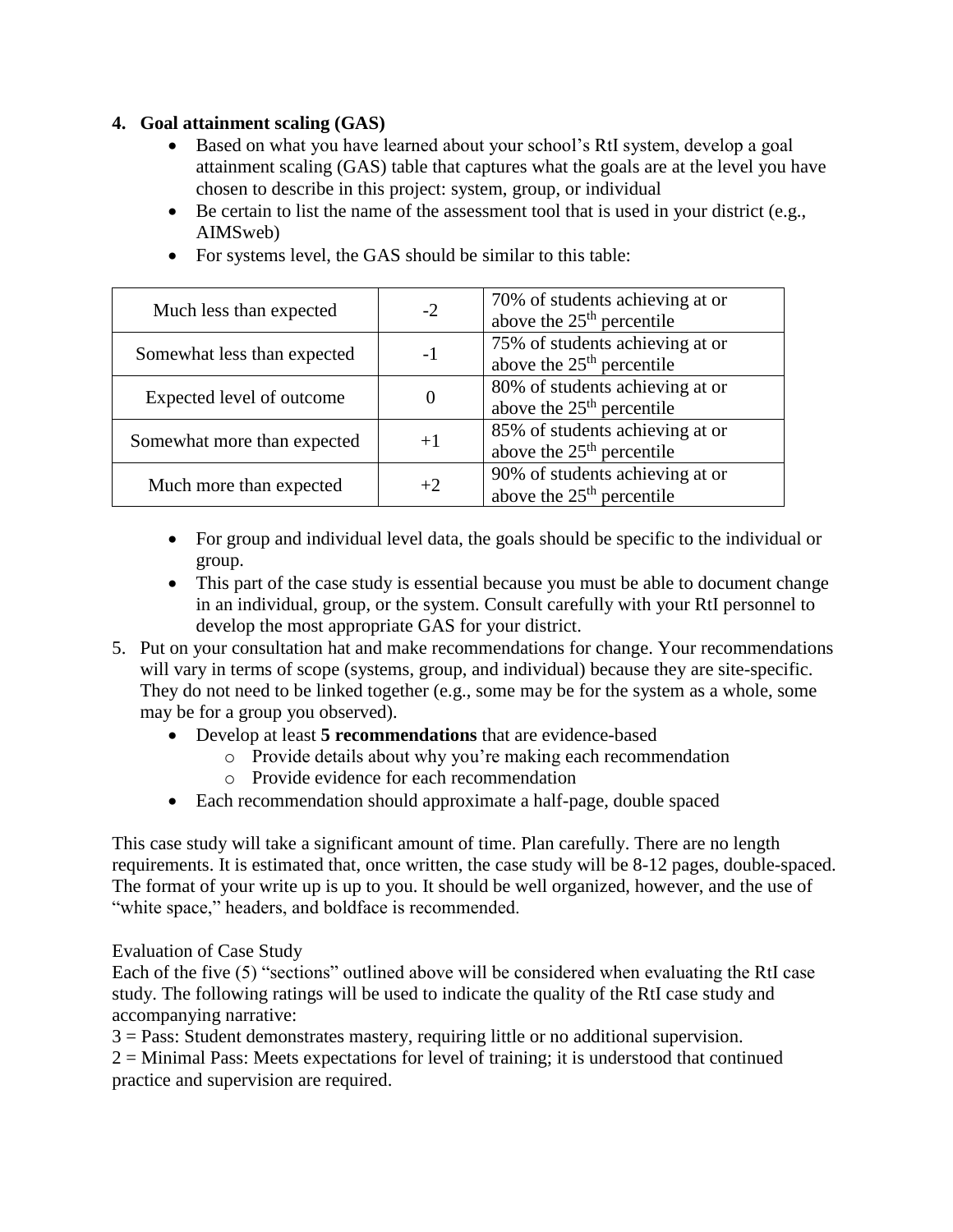## **4. Goal attainment scaling (GAS)**

- Based on what you have learned about your school's RtI system, develop a goal attainment scaling (GAS) table that captures what the goals are at the level you have chosen to describe in this project: system, group, or individual
- $\bullet$  Be certain to list the name of the assessment tool that is used in your district (e.g., AIMSweb)
- Much less than expected  $\vert$  -2 70% of students achieving at or above the 25<sup>th</sup> percentile Somewhat less than expected | -1 75% of students achieving at or above the  $25<sup>th</sup>$  percentile Expected level of outcome  $\vert$  0 80% of students achieving at or above the  $25<sup>th</sup>$  percentile Somewhat more than expected  $+1$   $85\%$  of students achieving at or above the  $25<sup>th</sup>$  percentile Much more than expected  $+2$  90% of students achieving at or above the  $25<sup>th</sup>$  percentile
- For systems level, the GAS should be similar to this table:

- For group and individual level data, the goals should be specific to the individual or group.
- This part of the case study is essential because you must be able to document change in an individual, group, or the system. Consult carefully with your RtI personnel to develop the most appropriate GAS for your district.
- 5. Put on your consultation hat and make recommendations for change. Your recommendations will vary in terms of scope (systems, group, and individual) because they are site-specific. They do not need to be linked together (e.g., some may be for the system as a whole, some may be for a group you observed).
	- Develop at least **5 recommendations** that are evidence-based
		- o Provide details about why you're making each recommendation
		- o Provide evidence for each recommendation
	- Each recommendation should approximate a half-page, double spaced

This case study will take a significant amount of time. Plan carefully. There are no length requirements. It is estimated that, once written, the case study will be 8-12 pages, double-spaced. The format of your write up is up to you. It should be well organized, however, and the use of "white space," headers, and boldface is recommended.

## Evaluation of Case Study

Each of the five (5) "sections" outlined above will be considered when evaluating the RtI case study. The following ratings will be used to indicate the quality of the RtI case study and accompanying narrative:

3 = Pass: Student demonstrates mastery, requiring little or no additional supervision. 2 = Minimal Pass: Meets expectations for level of training; it is understood that continued practice and supervision are required.